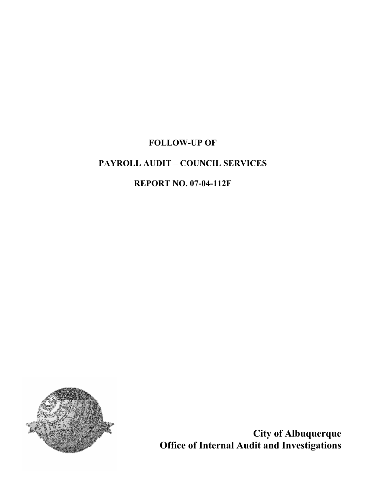# FOLLOW-UP OF

## PAYROLL AUDIT – COUNCIL SERVICES

## REPORT NO. 07-04-112F



City of Albuquerque Office of Internal Audit and Investigations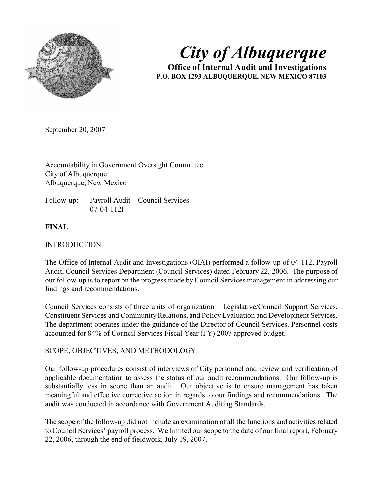

City of Albuquerque

Office of Internal Audit and Investigations P.O. BOX 1293 ALBUQUERQUE, NEW MEXICO 87103

September 20, 2007

Accountability in Government Oversight Committee City of Albuquerque Albuquerque, New Mexico

Follow-up: Payroll Audit – Council Services 07-04-112F

## FINAL

## **INTRODUCTION**

The Office of Internal Audit and Investigations (OIAI) performed a follow-up of 04-112, Payroll Audit, Council Services Department (Council Services) dated February 22, 2006. The purpose of our follow-up is to report on the progress made by Council Services management in addressing our findings and recommendations.

Council Services consists of three units of organization – Legislative/Council Support Services, Constituent Services and Community Relations, and Policy Evaluation and Development Services. The department operates under the guidance of the Director of Council Services. Personnel costs accounted for 84% of Council Services Fiscal Year (FY) 2007 approved budget.

## SCOPE, OBJECTIVES, AND METHODOLOGY

Our follow-up procedures consist of interviews of City personnel and review and verification of applicable documentation to assess the status of our audit recommendations. Our follow-up is substantially less in scope than an audit. Our objective is to ensure management has taken meaningful and effective corrective action in regards to our findings and recommendations. The audit was conducted in accordance with Government Auditing Standards.

The scope of the follow-up did not include an examination of all the functions and activities related to Council Services' payroll process. We limited our scope to the date of our final report, February 22, 2006, through the end of fieldwork, July 19, 2007.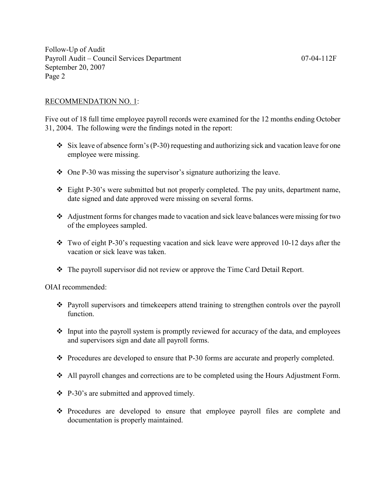## RECOMMENDATION NO. 1:

Five out of 18 full time employee payroll records were examined for the 12 months ending October 31, 2004. The following were the findings noted in the report:

- $\div$  Six leave of absence form's (P-30) requesting and authorizing sick and vacation leave for one employee were missing.
- $\div$  One P-30 was missing the supervisor's signature authorizing the leave.
- $\div$  Eight P-30's were submitted but not properly completed. The pay units, department name, date signed and date approved were missing on several forms.
- Adjustment forms for changes made to vacation and sick leave balances were missing for two of the employees sampled.
- Two of eight P-30's requesting vacation and sick leave were approved 10-12 days after the vacation or sick leave was taken.
- The payroll supervisor did not review or approve the Time Card Detail Report.

OIAI recommended:

- Payroll supervisors and timekeepers attend training to strengthen controls over the payroll function.
- $\triangle$  Input into the payroll system is promptly reviewed for accuracy of the data, and employees and supervisors sign and date all payroll forms.
- \* Procedures are developed to ensure that P-30 forms are accurate and properly completed.
- All payroll changes and corrections are to be completed using the Hours Adjustment Form.
- P-30's are submitted and approved timely.
- Procedures are developed to ensure that employee payroll files are complete and documentation is properly maintained.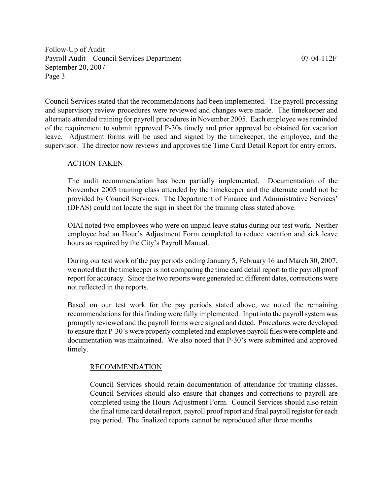Council Services stated that the recommendations had been implemented. The payroll processing and supervisory review procedures were reviewed and changes were made. The timekeeper and alternate attended training for payroll procedures in November 2005. Each employee was reminded of the requirement to submit approved P-30s timely and prior approval be obtained for vacation leave. Adjustment forms will be used and signed by the timekeeper, the employee, and the supervisor. The director now reviews and approves the Time Card Detail Report for entry errors.

#### ACTION TAKEN

The audit recommendation has been partially implemented. Documentation of the November 2005 training class attended by the timekeeper and the alternate could not be provided by Council Services. The Department of Finance and Administrative Services' (DFAS) could not locate the sign in sheet for the training class stated above.

OIAI noted two employees who were on unpaid leave status during our test work. Neither employee had an Hour's Adjustment Form completed to reduce vacation and sick leave hours as required by the City's Payroll Manual.

During our test work of the pay periods ending January 5, February 16 and March 30, 2007, we noted that the timekeeper is not comparing the time card detail report to the payroll proof report for accuracy. Since the two reports were generated on different dates, corrections were not reflected in the reports.

Based on our test work for the pay periods stated above, we noted the remaining recommendations for this finding were fully implemented. Input into the payroll system was promptly reviewed and the payroll forms were signed and dated. Procedures were developed to ensure that P-30's were properly completed and employee payroll files were complete and documentation was maintained. We also noted that P-30's were submitted and approved timely.

## RECOMMENDATION

Council Services should retain documentation of attendance for training classes. Council Services should also ensure that changes and corrections to payroll are completed using the Hours Adjustment Form. Council Services should also retain the final time card detail report, payroll proof report and final payroll register for each pay period. The finalized reports cannot be reproduced after three months.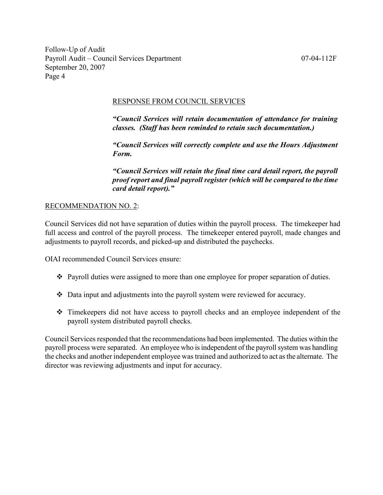## RESPONSE FROM COUNCIL SERVICES

"Council Services will retain documentation of attendance for training classes. (Staff has been reminded to retain such documentation.)

"Council Services will correctly complete and use the Hours Adjustment Form.

"Council Services will retain the final time card detail report, the payroll proof report and final payroll register (which will be compared to the time card detail report)."

## RECOMMENDATION NO. 2:

Council Services did not have separation of duties within the payroll process. The timekeeper had full access and control of the payroll process. The timekeeper entered payroll, made changes and adjustments to payroll records, and picked-up and distributed the paychecks.

OIAI recommended Council Services ensure:

- Payroll duties were assigned to more than one employee for proper separation of duties.
- Data input and adjustments into the payroll system were reviewed for accuracy.
- Timekeepers did not have access to payroll checks and an employee independent of the payroll system distributed payroll checks.

Council Services responded that the recommendations had been implemented. The duties within the payroll process were separated. An employee who is independent of the payroll system was handling the checks and another independent employee was trained and authorized to act as the alternate. The director was reviewing adjustments and input for accuracy.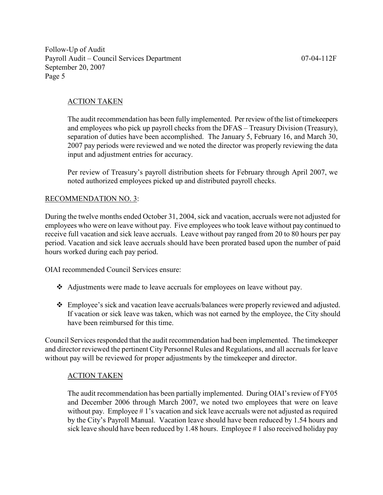## ACTION TAKEN

The audit recommendation has been fully implemented. Per review of the list of timekeepers and employees who pick up payroll checks from the DFAS – Treasury Division (Treasury), separation of duties have been accomplished. The January 5, February 16, and March 30, 2007 pay periods were reviewed and we noted the director was properly reviewing the data input and adjustment entries for accuracy.

Per review of Treasury's payroll distribution sheets for February through April 2007, we noted authorized employees picked up and distributed payroll checks.

## RECOMMENDATION NO. 3:

During the twelve months ended October 31, 2004, sick and vacation, accruals were not adjusted for employees who were on leave without pay. Five employees who took leave without pay continued to receive full vacation and sick leave accruals. Leave without pay ranged from 20 to 80 hours per pay period. Vacation and sick leave accruals should have been prorated based upon the number of paid hours worked during each pay period.

OIAI recommended Council Services ensure:

- Adjustments were made to leave accruals for employees on leave without pay.
- Employee's sick and vacation leave accruals/balances were properly reviewed and adjusted. If vacation or sick leave was taken, which was not earned by the employee, the City should have been reimbursed for this time.

Council Services responded that the audit recommendation had been implemented. The timekeeper and director reviewed the pertinent City Personnel Rules and Regulations, and all accruals for leave without pay will be reviewed for proper adjustments by the timekeeper and director.

#### ACTION TAKEN

The audit recommendation has been partially implemented. During OIAI's review of FY05 and December 2006 through March 2007, we noted two employees that were on leave without pay. Employee #1's vacation and sick leave accruals were not adjusted as required by the City's Payroll Manual. Vacation leave should have been reduced by 1.54 hours and sick leave should have been reduced by 1.48 hours. Employee #1 also received holiday pay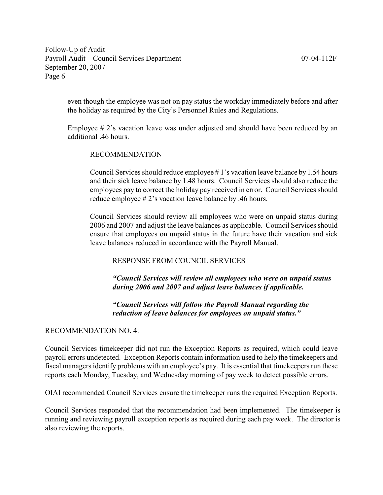even though the employee was not on pay status the workday immediately before and after the holiday as required by the City's Personnel Rules and Regulations.

Employee # 2's vacation leave was under adjusted and should have been reduced by an additional .46 hours.

## RECOMMENDATION

Council Services should reduce employee # 1's vacation leave balance by 1.54 hours and their sick leave balance by 1.48 hours. Council Services should also reduce the employees pay to correct the holiday pay received in error. Council Services should reduce employee # 2's vacation leave balance by .46 hours.

Council Services should review all employees who were on unpaid status during 2006 and 2007 and adjust the leave balances as applicable. Council Services should ensure that employees on unpaid status in the future have their vacation and sick leave balances reduced in accordance with the Payroll Manual.

## RESPONSE FROM COUNCIL SERVICES

"Council Services will review all employees who were on unpaid status during 2006 and 2007 and adjust leave balances if applicable.

"Council Services will follow the Payroll Manual regarding the reduction of leave balances for employees on unpaid status."

## RECOMMENDATION NO. 4:

Council Services timekeeper did not run the Exception Reports as required, which could leave payroll errors undetected. Exception Reports contain information used to help the timekeepers and fiscal managers identify problems with an employee's pay. It is essential that timekeepers run these reports each Monday, Tuesday, and Wednesday morning of pay week to detect possible errors.

OIAI recommended Council Services ensure the timekeeper runs the required Exception Reports.

Council Services responded that the recommendation had been implemented. The timekeeper is running and reviewing payroll exception reports as required during each pay week. The director is also reviewing the reports.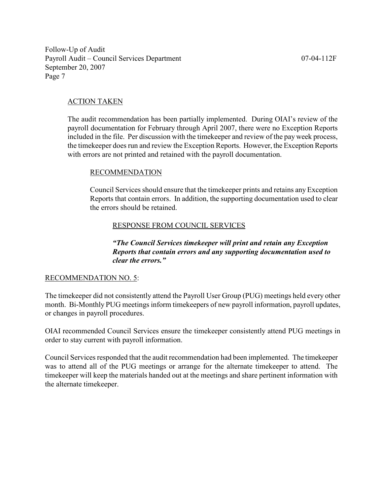#### ACTION TAKEN

The audit recommendation has been partially implemented. During OIAI's review of the payroll documentation for February through April 2007, there were no Exception Reports included in the file. Per discussion with the timekeeper and review of the pay week process, the timekeeper does run and review the Exception Reports. However, the Exception Reports with errors are not printed and retained with the payroll documentation.

#### RECOMMENDATION

Council Services should ensure that the timekeeper prints and retains any Exception Reports that contain errors. In addition, the supporting documentation used to clear the errors should be retained.

#### RESPONSE FROM COUNCIL SERVICES

"The Council Services timekeeper will print and retain any Exception Reports that contain errors and any supporting documentation used to clear the errors."

#### RECOMMENDATION NO. 5:

The timekeeper did not consistently attend the Payroll User Group (PUG) meetings held every other month. Bi-Monthly PUG meetings inform timekeepers of new payroll information, payroll updates, or changes in payroll procedures.

OIAI recommended Council Services ensure the timekeeper consistently attend PUG meetings in order to stay current with payroll information.

Council Services responded that the audit recommendation had been implemented. The timekeeper was to attend all of the PUG meetings or arrange for the alternate timekeeper to attend. The timekeeper will keep the materials handed out at the meetings and share pertinent information with the alternate timekeeper.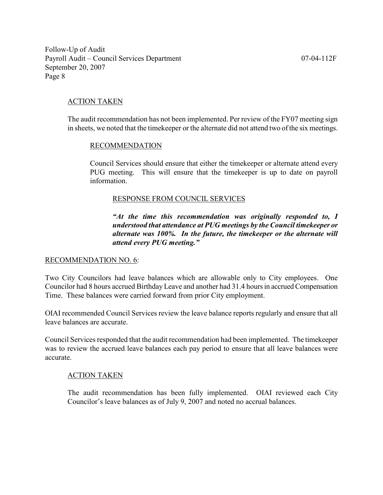## ACTION TAKEN

The audit recommendation has not been implemented. Per review of the FY07 meeting sign in sheets, we noted that the timekeeper or the alternate did not attend two of the six meetings.

#### RECOMMENDATION

Council Services should ensure that either the timekeeper or alternate attend every PUG meeting. This will ensure that the timekeeper is up to date on payroll information.

#### RESPONSE FROM COUNCIL SERVICES

"At the time this recommendation was originally responded to, I understood that attendance at PUG meetings by the Council timekeeper or alternate was 100%. In the future, the timekeeper or the alternate will attend every PUG meeting."

#### RECOMMENDATION NO. 6:

Two City Councilors had leave balances which are allowable only to City employees. One Councilor had 8 hours accrued Birthday Leave and another had 31.4 hours in accrued Compensation Time. These balances were carried forward from prior City employment.

OIAI recommended Council Services review the leave balance reports regularly and ensure that all leave balances are accurate.

Council Services responded that the audit recommendation had been implemented. The timekeeper was to review the accrued leave balances each pay period to ensure that all leave balances were accurate.

#### ACTION TAKEN

The audit recommendation has been fully implemented. OIAI reviewed each City Councilor's leave balances as of July 9, 2007 and noted no accrual balances.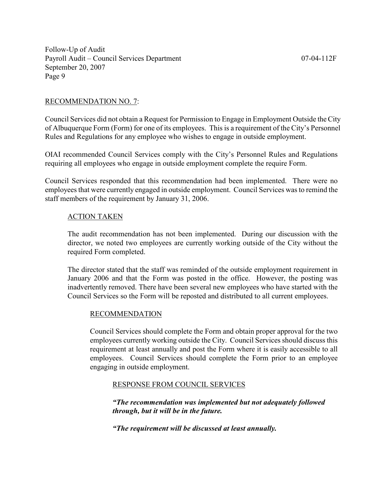#### RECOMMENDATION NO. 7:

Council Services did not obtain a Request for Permission to Engage in Employment Outside the City of Albuquerque Form (Form) for one of its employees. This is a requirement of the City's Personnel Rules and Regulations for any employee who wishes to engage in outside employment.

OIAI recommended Council Services comply with the City's Personnel Rules and Regulations requiring all employees who engage in outside employment complete the require Form.

Council Services responded that this recommendation had been implemented. There were no employees that were currently engaged in outside employment. Council Services was to remind the staff members of the requirement by January 31, 2006.

#### ACTION TAKEN

The audit recommendation has not been implemented. During our discussion with the director, we noted two employees are currently working outside of the City without the required Form completed.

The director stated that the staff was reminded of the outside employment requirement in January 2006 and that the Form was posted in the office. However, the posting was inadvertently removed. There have been several new employees who have started with the Council Services so the Form will be reposted and distributed to all current employees.

#### RECOMMENDATION

Council Services should complete the Form and obtain proper approval for the two employees currently working outside the City. Council Services should discuss this requirement at least annually and post the Form where it is easily accessible to all employees. Council Services should complete the Form prior to an employee engaging in outside employment.

## RESPONSE FROM COUNCIL SERVICES

"The recommendation was implemented but not adequately followed through, but it will be in the future.

"The requirement will be discussed at least annually.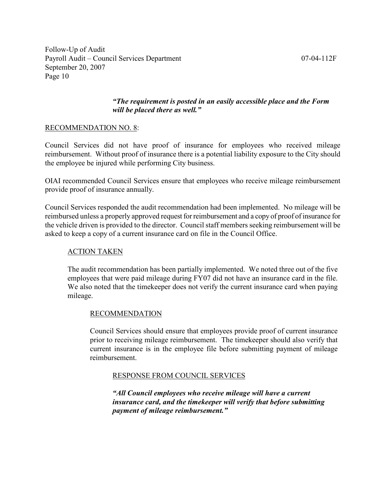## "The requirement is posted in an easily accessible place and the Form will be placed there as well."

## RECOMMENDATION NO. 8:

Council Services did not have proof of insurance for employees who received mileage reimbursement. Without proof of insurance there is a potential liability exposure to the City should the employee be injured while performing City business.

OIAI recommended Council Services ensure that employees who receive mileage reimbursement provide proof of insurance annually.

Council Services responded the audit recommendation had been implemented. No mileage will be reimbursed unless a properly approved request for reimbursement and a copy of proof of insurance for the vehicle driven is provided to the director. Council staff members seeking reimbursement will be asked to keep a copy of a current insurance card on file in the Council Office.

## ACTION TAKEN

The audit recommendation has been partially implemented. We noted three out of the five employees that were paid mileage during FY07 did not have an insurance card in the file. We also noted that the timekeeper does not verify the current insurance card when paying mileage.

## RECOMMENDATION

Council Services should ensure that employees provide proof of current insurance prior to receiving mileage reimbursement. The timekeeper should also verify that current insurance is in the employee file before submitting payment of mileage reimbursement.

## RESPONSE FROM COUNCIL SERVICES

"All Council employees who receive mileage will have a current insurance card, and the timekeeper will verify that before submitting payment of mileage reimbursement."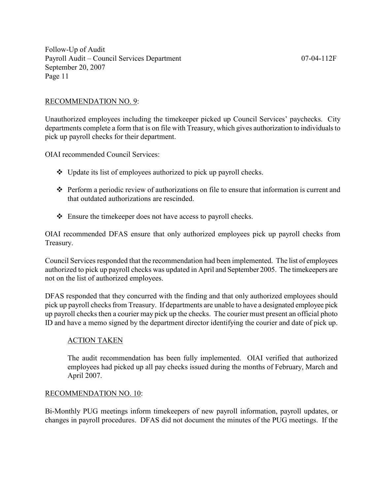#### RECOMMENDATION NO. 9:

Unauthorized employees including the timekeeper picked up Council Services' paychecks. City departments complete a form that is on file with Treasury, which gives authorization to individuals to pick up payroll checks for their department.

OIAI recommended Council Services:

- $\triangleleft$  Update its list of employees authorized to pick up payroll checks.
- Perform a periodic review of authorizations on file to ensure that information is current and that outdated authorizations are rescinded.
- Ensure the timekeeper does not have access to payroll checks.

OIAI recommended DFAS ensure that only authorized employees pick up payroll checks from Treasury.

Council Services responded that the recommendation had been implemented. The list of employees authorized to pick up payroll checks was updated in April and September 2005. The timekeepers are not on the list of authorized employees.

DFAS responded that they concurred with the finding and that only authorized employees should pick up payroll checks from Treasury. If departments are unable to have a designated employee pick up payroll checks then a courier may pick up the checks. The courier must present an official photo ID and have a memo signed by the department director identifying the courier and date of pick up.

#### ACTION TAKEN

The audit recommendation has been fully implemented. OIAI verified that authorized employees had picked up all pay checks issued during the months of February, March and April 2007.

#### RECOMMENDATION NO. 10:

Bi-Monthly PUG meetings inform timekeepers of new payroll information, payroll updates, or changes in payroll procedures. DFAS did not document the minutes of the PUG meetings. If the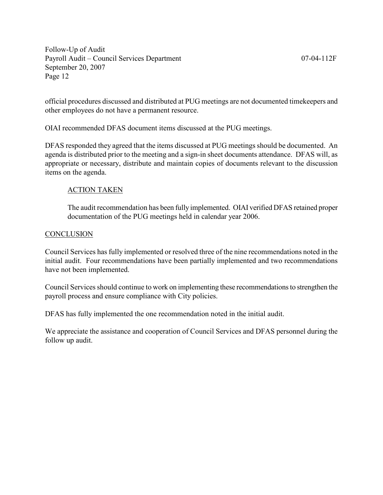official procedures discussed and distributed at PUG meetings are not documented timekeepers and other employees do not have a permanent resource.

OIAI recommended DFAS document items discussed at the PUG meetings.

DFAS responded they agreed that the items discussed at PUG meetings should be documented. An agenda is distributed prior to the meeting and a sign-in sheet documents attendance. DFAS will, as appropriate or necessary, distribute and maintain copies of documents relevant to the discussion items on the agenda.

## ACTION TAKEN

The audit recommendation has been fully implemented. OIAI verified DFAS retained proper documentation of the PUG meetings held in calendar year 2006.

## **CONCLUSION**

Council Services has fully implemented or resolved three of the nine recommendations noted in the initial audit. Four recommendations have been partially implemented and two recommendations have not been implemented.

Council Services should continue to work on implementing these recommendations to strengthen the payroll process and ensure compliance with City policies.

DFAS has fully implemented the one recommendation noted in the initial audit.

We appreciate the assistance and cooperation of Council Services and DFAS personnel during the follow up audit.